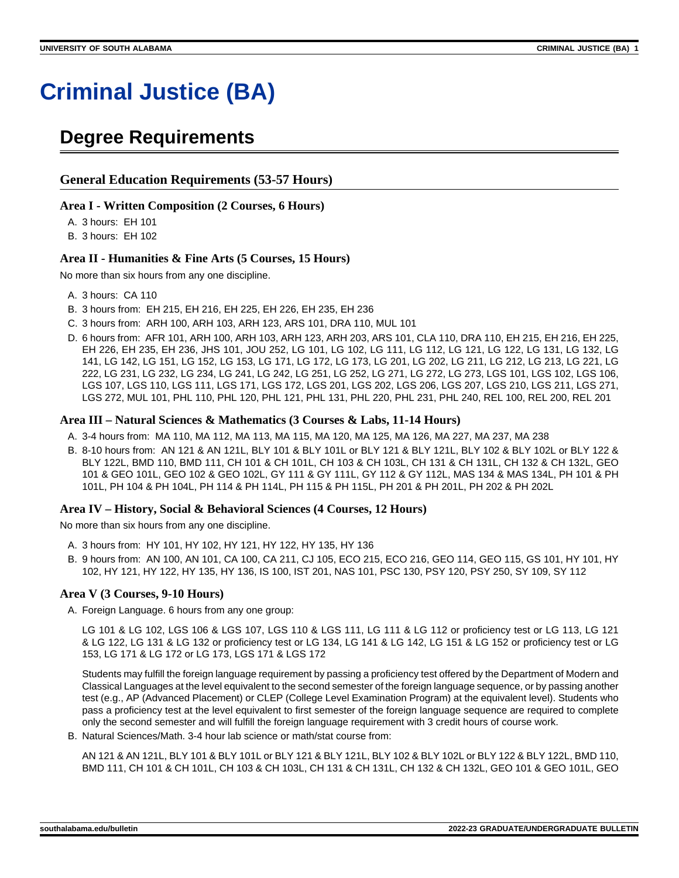# **Criminal Justice (BA)**

# **Degree Requirements**

# **General Education Requirements (53-57 Hours)**

## **Area I - Written Composition (2 Courses, 6 Hours)**

A. 3 hours: EH 101

B. 3 hours: EH 102

# **Area II - Humanities & Fine Arts (5 Courses, 15 Hours)**

No more than six hours from any one discipline.

- A. 3 hours: CA 110
- B. 3 hours from: EH 215, EH 216, EH 225, EH 226, EH 235, EH 236
- C. 3 hours from: ARH 100, ARH 103, ARH 123, ARS 101, DRA 110, MUL 101
- D. 6 hours from: AFR 101, ARH 100, ARH 103, ARH 123, ARH 203, ARS 101, CLA 110, DRA 110, EH 215, EH 216, EH 225, EH 226, EH 235, EH 236, JHS 101, JOU 252, LG 101, LG 102, LG 111, LG 112, LG 121, LG 122, LG 131, LG 132, LG 141, LG 142, LG 151, LG 152, LG 153, LG 171, LG 172, LG 173, LG 201, LG 202, LG 211, LG 212, LG 213, LG 221, LG 222, LG 231, LG 232, LG 234, LG 241, LG 242, LG 251, LG 252, LG 271, LG 272, LG 273, LGS 101, LGS 102, LGS 106, LGS 107, LGS 110, LGS 111, LGS 171, LGS 172, LGS 201, LGS 202, LGS 206, LGS 207, LGS 210, LGS 211, LGS 271, LGS 272, MUL 101, PHL 110, PHL 120, PHL 121, PHL 131, PHL 220, PHL 231, PHL 240, REL 100, REL 200, REL 201

## **Area III – Natural Sciences & Mathematics (3 Courses & Labs, 11-14 Hours)**

- A. 3-4 hours from: MA 110, MA 112, MA 113, MA 115, MA 120, MA 125, MA 126, MA 227, MA 237, MA 238
- B. 8-10 hours from: AN 121 & AN 121L, BLY 101 & BLY 101L or BLY 121 & BLY 121L, BLY 102 & BLY 102L or BLY 122 & BLY 122L, BMD 110, BMD 111, CH 101 & CH 101L, CH 103 & CH 103L, CH 131 & CH 131L, CH 132 & CH 132L, GEO 101 & GEO 101L, GEO 102 & GEO 102L, GY 111 & GY 111L, GY 112 & GY 112L, MAS 134 & MAS 134L, PH 101 & PH 101L, PH 104 & PH 104L, PH 114 & PH 114L, PH 115 & PH 115L, PH 201 & PH 201L, PH 202 & PH 202L

## **Area IV – History, Social & Behavioral Sciences (4 Courses, 12 Hours)**

No more than six hours from any one discipline.

- A. 3 hours from: HY 101, HY 102, HY 121, HY 122, HY 135, HY 136
- B. 9 hours from: AN 100, AN 101, CA 100, CA 211, CJ 105, ECO 215, ECO 216, GEO 114, GEO 115, GS 101, HY 101, HY 102, HY 121, HY 122, HY 135, HY 136, IS 100, IST 201, NAS 101, PSC 130, PSY 120, PSY 250, SY 109, SY 112

## **Area V (3 Courses, 9-10 Hours)**

A. Foreign Language. 6 hours from any one group:

LG 101 & LG 102, LGS 106 & LGS 107, LGS 110 & LGS 111, LG 111 & LG 112 or proficiency test or LG 113, LG 121 & LG 122, LG 131 & LG 132 or proficiency test or LG 134, LG 141 & LG 142, LG 151 & LG 152 or proficiency test or LG 153, LG 171 & LG 172 or LG 173, LGS 171 & LGS 172

Students may fulfill the foreign language requirement by passing a proficiency test offered by the Department of Modern and Classical Languages at the level equivalent to the second semester of the foreign language sequence, or by passing another test (e.g., AP (Advanced Placement) or CLEP (College Level Examination Program) at the equivalent level). Students who pass a proficiency test at the level equivalent to first semester of the foreign language sequence are required to complete only the second semester and will fulfill the foreign language requirement with 3 credit hours of course work.

B. Natural Sciences/Math. 3-4 hour lab science or math/stat course from:

AN 121 & AN 121L, BLY 101 & BLY 101L or BLY 121 & BLY 121L, BLY 102 & BLY 102L or BLY 122 & BLY 122L, BMD 110, BMD 111, CH 101 & CH 101L, CH 103 & CH 103L, CH 131 & CH 131L, CH 132 & CH 132L, GEO 101 & GEO 101L, GEO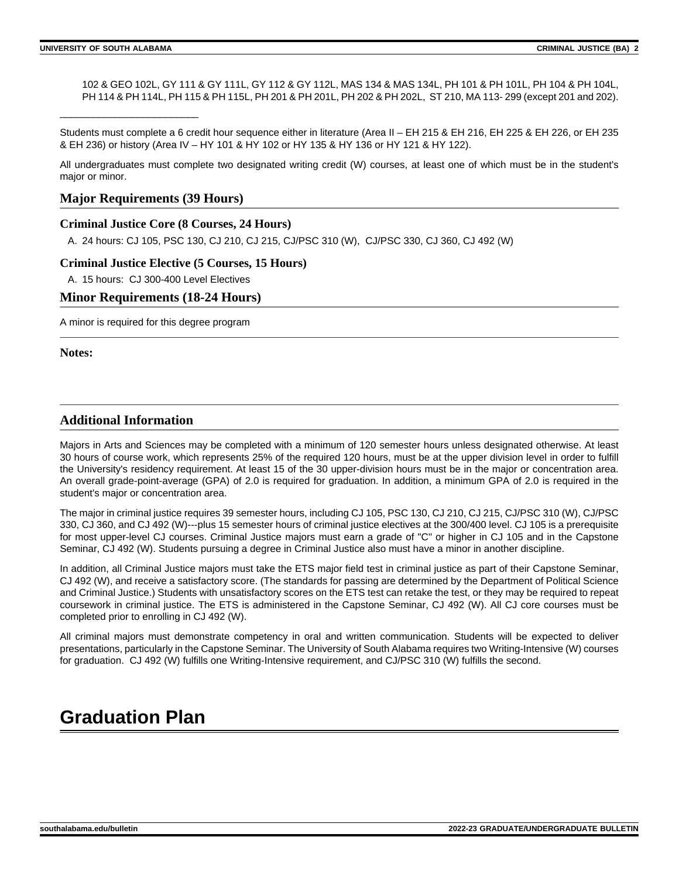\_\_\_\_\_\_\_\_\_\_\_\_\_\_\_\_\_\_\_\_\_\_\_\_\_

102 & GEO 102L, GY 111 & GY 111L, GY 112 & GY 112L, MAS 134 & MAS 134L, PH 101 & PH 101L, PH 104 & PH 104L, PH 114 & PH 114L, PH 115 & PH 115L, PH 201 & PH 201L, PH 202 & PH 202L, ST 210, MA 113-299 (except 201 and 202).

Students must complete a 6 credit hour sequence either in literature (Area II – EH 215 & EH 216, EH 225 & EH 226, or EH 235 & EH 236) or history (Area IV – HY 101 & HY 102 or HY 135 & HY 136 or HY 121 & HY 122).

All undergraduates must complete two designated writing credit (W) courses, at least one of which must be in the student's major or minor.

# **Major Requirements (39 Hours)**

# **Criminal Justice Core (8 Courses, 24 Hours)**

A. 24 hours: CJ 105, PSC 130, CJ 210, CJ 215, CJ/PSC 310 (W), CJ/PSC 330, CJ 360, CJ 492 (W)

## **Criminal Justice Elective (5 Courses, 15 Hours)**

A. 15 hours: CJ 300-400 Level Electives

# **Minor Requirements (18-24 Hours)**

A minor is required for this degree program

**Notes:**

# **Additional Information**

Majors in Arts and Sciences may be completed with a minimum of 120 semester hours unless designated otherwise. At least 30 hours of course work, which represents 25% of the required 120 hours, must be at the upper division level in order to fulfill the University's residency requirement. At least 15 of the 30 upper-division hours must be in the major or concentration area. An overall grade-point-average (GPA) of 2.0 is required for graduation. In addition, a minimum GPA of 2.0 is required in the student's major or concentration area.

The major in criminal justice requires 39 semester hours, including CJ 105, PSC 130, CJ 210, CJ 215, CJ/PSC 310 (W), CJ/PSC 330, CJ 360, and CJ 492 (W)---plus 15 semester hours of criminal justice electives at the 300/400 level. CJ 105 is a prerequisite for most upper-level CJ courses. Criminal Justice majors must earn a grade of "C" or higher in CJ 105 and in the Capstone Seminar, CJ 492 (W). Students pursuing a degree in Criminal Justice also must have a minor in another discipline.

In addition, all Criminal Justice majors must take the ETS major field test in criminal justice as part of their Capstone Seminar, CJ 492 (W), and receive a satisfactory score. (The standards for passing are determined by the Department of Political Science and Criminal Justice.) Students with unsatisfactory scores on the ETS test can retake the test, or they may be required to repeat coursework in criminal justice. The ETS is administered in the Capstone Seminar, CJ 492 (W). All CJ core courses must be completed prior to enrolling in CJ 492 (W).

All criminal majors must demonstrate competency in oral and written communication. Students will be expected to deliver presentations, particularly in the Capstone Seminar. The University of South Alabama requires two Writing-Intensive (W) courses for graduation. CJ 492 (W) fulfills one Writing-Intensive requirement, and CJ/PSC 310 (W) fulfills the second.

# **Graduation Plan**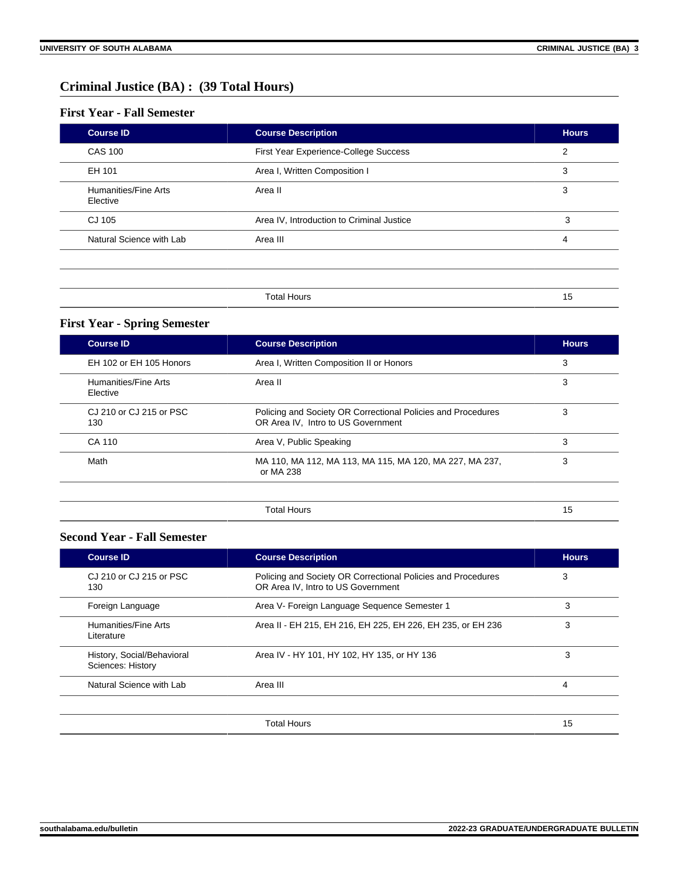# **Criminal Justice (BA) : (39 Total Hours)**

# **First Year - Fall Semester**

| <b>Course ID</b>                 | <b>Course Description</b>                 | <b>Hours</b>   |
|----------------------------------|-------------------------------------------|----------------|
| <b>CAS 100</b>                   | First Year Experience-College Success     | $\overline{2}$ |
| EH 101                           | Area I, Written Composition I             | 3              |
| Humanities/Fine Arts<br>Elective | Area II                                   | 3              |
| CJ 105                           | Area IV, Introduction to Criminal Justice | 3              |
| Natural Science with Lab         | Area III                                  | 4              |
|                                  |                                           |                |
|                                  | <b>Total Hours</b>                        | 15             |

# **First Year - Spring Semester**

| <b>Course ID</b>                 | <b>Course Description</b>                                                                          | <b>Hours</b> |
|----------------------------------|----------------------------------------------------------------------------------------------------|--------------|
| EH 102 or EH 105 Honors          | Area I, Written Composition II or Honors                                                           | 3            |
| Humanities/Fine Arts<br>Elective | Area II                                                                                            | 3            |
| CJ 210 or CJ 215 or PSC<br>130   | Policing and Society OR Correctional Policies and Procedures<br>OR Area IV, Intro to US Government | 3            |
| CA 110                           | Area V, Public Speaking                                                                            | 3            |
| Math                             | MA 110, MA 112, MA 113, MA 115, MA 120, MA 227, MA 237,<br>or MA 238                               | 3            |
|                                  | Total Hours                                                                                        | 15           |

# **Second Year - Fall Semester**

| <b>Course ID</b>                                | <b>Course Description</b>                                                                          | <b>Hours</b> |
|-------------------------------------------------|----------------------------------------------------------------------------------------------------|--------------|
| CJ 210 or CJ 215 or PSC<br>130                  | Policing and Society OR Correctional Policies and Procedures<br>OR Area IV, Intro to US Government | 3            |
| Foreign Language                                | Area V- Foreign Language Sequence Semester 1                                                       | 3            |
| Humanities/Fine Arts<br>Literature              | Area II - EH 215, EH 216, EH 225, EH 226, EH 235, or EH 236                                        | 3            |
| History, Social/Behavioral<br>Sciences: History | Area IV - HY 101, HY 102, HY 135, or HY 136                                                        | 3            |
| Natural Science with Lab                        | Area III                                                                                           | 4            |
|                                                 | Total Hours                                                                                        | 15           |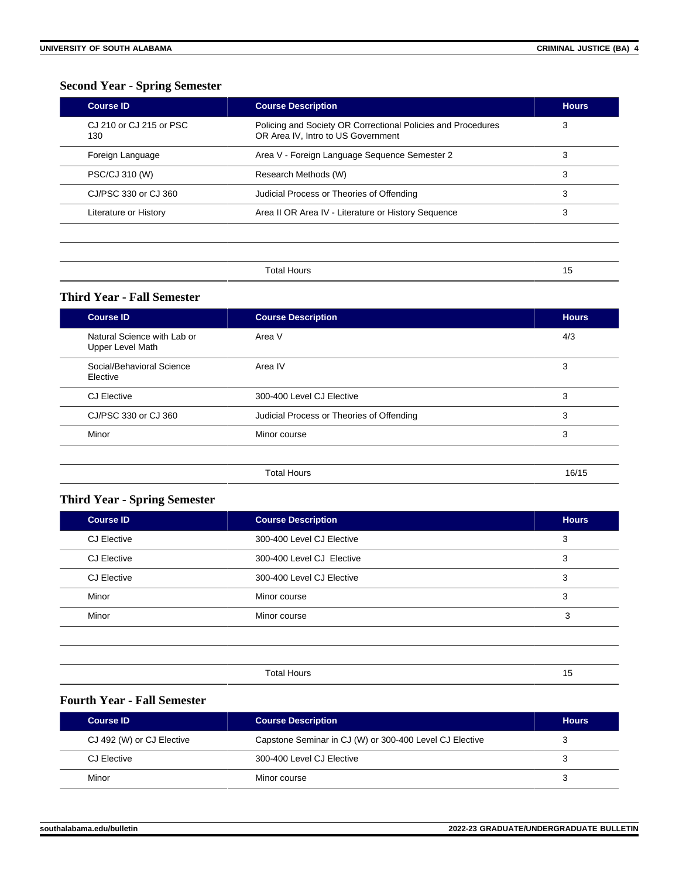# **Second Year - Spring Semester**

| <b>Course ID</b>               | <b>Course Description</b>                                                                          | <b>Hours</b> |
|--------------------------------|----------------------------------------------------------------------------------------------------|--------------|
| CJ 210 or CJ 215 or PSC<br>130 | Policing and Society OR Correctional Policies and Procedures<br>OR Area IV, Intro to US Government | 3            |
| Foreign Language               | Area V - Foreign Language Sequence Semester 2                                                      | 3            |
| PSC/CJ 310 (W)                 | Research Methods (W)                                                                               | 3            |
| CJ/PSC 330 or CJ 360           | Judicial Process or Theories of Offending                                                          | 3            |
| Literature or History          | Area II OR Area IV - Literature or History Sequence                                                | 3            |
|                                |                                                                                                    |              |
|                                |                                                                                                    |              |

Total Hours 15

# **Third Year - Fall Semester**

| <b>Course ID</b>                                | <b>Course Description</b>                 | <b>Hours</b> |
|-------------------------------------------------|-------------------------------------------|--------------|
| Natural Science with Lab or<br>Upper Level Math | Area V                                    | 4/3          |
| Social/Behavioral Science<br>Elective           | Area IV                                   | 3            |
| <b>CJ Elective</b>                              | 300-400 Level CJ Elective                 | 3            |
| CJ/PSC 330 or CJ 360                            | Judicial Process or Theories of Offending | 3            |
| Minor                                           | Minor course                              | 3            |
|                                                 |                                           |              |
|                                                 | <b>Total Hours</b>                        | 16/15        |

# **Third Year - Spring Semester**

| <b>Course ID</b>   | <b>Course Description</b> | <b>Hours</b> |
|--------------------|---------------------------|--------------|
| <b>CJ Elective</b> | 300-400 Level CJ Elective | 3            |
| <b>CJ</b> Elective | 300-400 Level CJ Elective | 3            |
| <b>CJ Elective</b> | 300-400 Level CJ Elective | 3            |
| Minor              | Minor course              | 3            |
| Minor              | Minor course              | 3            |
|                    |                           |              |
|                    |                           |              |
|                    | <b>Total Hours</b>        | 15           |

# **Fourth Year - Fall Semester**

| <b>Course ID</b>          | <b>Course Description</b>                               | <b>Hours</b> |
|---------------------------|---------------------------------------------------------|--------------|
| CJ 492 (W) or CJ Elective | Capstone Seminar in CJ (W) or 300-400 Level CJ Elective |              |
| CJ Elective               | 300-400 Level CJ Elective                               |              |
| Minor                     | Minor course                                            |              |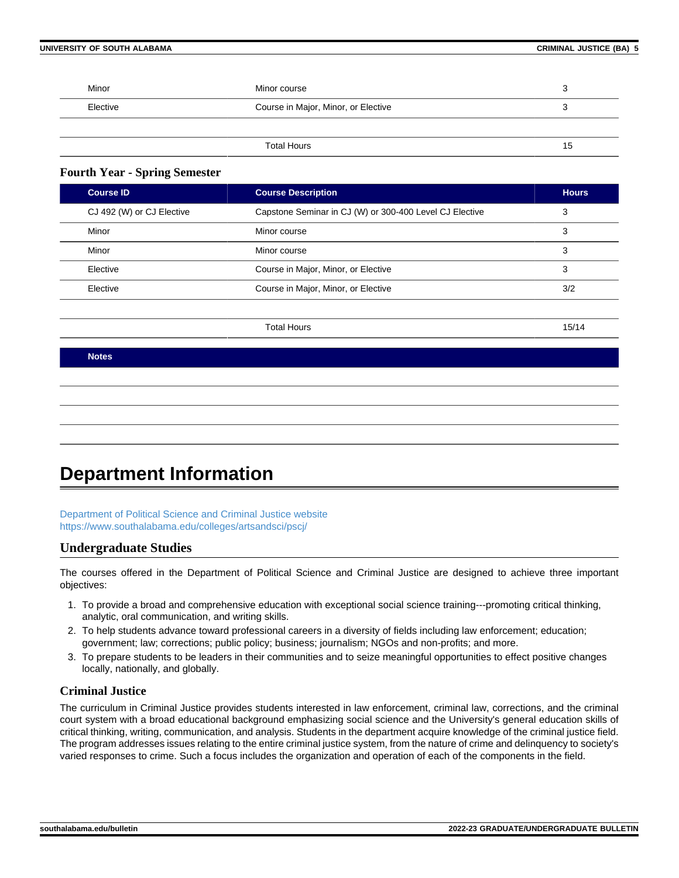### **UNIVERSITY OF SOUTH ALABAMA CRIMINAL JUSTICE (BA) 5**

| Minor    | Minor course                        |    |
|----------|-------------------------------------|----|
| Elective | Course in Major, Minor, or Elective |    |
|          |                                     |    |
|          | <b>Total Hours</b>                  | 15 |

# **Fourth Year - Spring Semester**

| <b>Course ID</b>          | <b>Course Description</b>                               | <b>Hours</b> |
|---------------------------|---------------------------------------------------------|--------------|
| CJ 492 (W) or CJ Elective | Capstone Seminar in CJ (W) or 300-400 Level CJ Elective | 3            |
| Minor                     | Minor course                                            | 3            |
| Minor                     | Minor course                                            | 3            |
| Elective                  | Course in Major, Minor, or Elective                     | 3            |
| Elective                  | Course in Major, Minor, or Elective                     | 3/2          |
|                           |                                                         |              |

Total Hours 15/14

**Notes**

# **Department Information**

[Department of Political Science and Criminal Justice website](https://www.southalabama.edu/poliscie/) <https://www.southalabama.edu/colleges/artsandsci/pscj/>

# **Undergraduate Studies**

The courses offered in the Department of Political Science and Criminal Justice are designed to achieve three important objectives:

- 1. To provide a broad and comprehensive education with exceptional social science training---promoting critical thinking, analytic, oral communication, and writing skills.
- 2. To help students advance toward professional careers in a diversity of fields including law enforcement; education; government; law; corrections; public policy; business; journalism; NGOs and non-profits; and more.
- 3. To prepare students to be leaders in their communities and to seize meaningful opportunities to effect positive changes locally, nationally, and globally.

## **Criminal Justice**

The curriculum in Criminal Justice provides students interested in law enforcement, criminal law, corrections, and the criminal court system with a broad educational background emphasizing social science and the University's general education skills of critical thinking, writing, communication, and analysis. Students in the department acquire knowledge of the criminal justice field. The program addresses issues relating to the entire criminal justice system, from the nature of crime and delinquency to society's varied responses to crime. Such a focus includes the organization and operation of each of the components in the field.